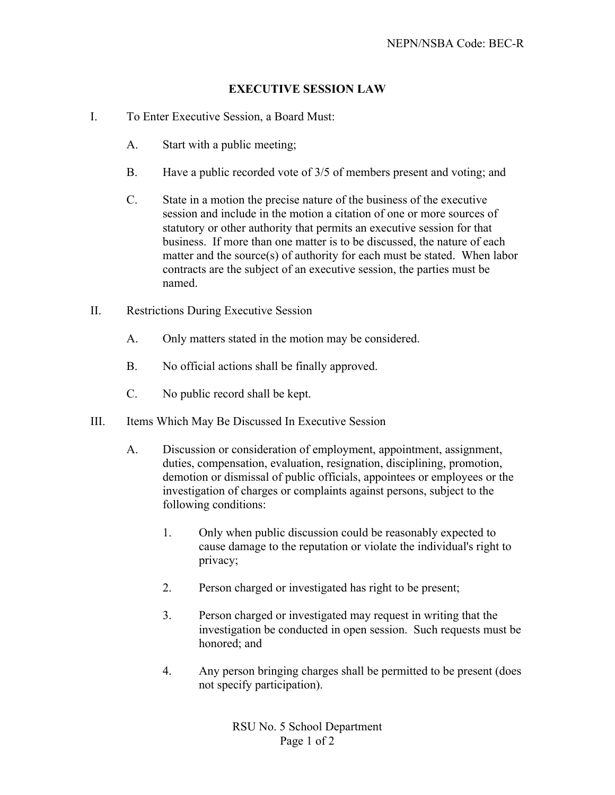## **EXECUTIVE SESSION LAW**

- I. To Enter Executive Session, a Board Must:
	- A. Start with a public meeting;
	- B. Have a public recorded vote of 3/5 of members present and voting; and
	- C. State in a motion the precise nature of the business of the executive session and include in the motion a citation of one or more sources of statutory or other authority that permits an executive session for that business. If more than one matter is to be discussed, the nature of each matter and the source(s) of authority for each must be stated. When labor contracts are the subject of an executive session, the parties must be named.
- II. Restrictions During Executive Session
	- A. Only matters stated in the motion may be considered.
	- B. No official actions shall be finally approved.
	- C. No public record shall be kept.
- III. Items Which May Be Discussed In Executive Session
	- A. Discussion or consideration of employment, appointment, assignment, duties, compensation, evaluation, resignation, disciplining, promotion, demotion or dismissal of public officials, appointees or employees or the investigation of charges or complaints against persons, subject to the following conditions:
		- 1. Only when public discussion could be reasonably expected to cause damage to the reputation or violate the individual's right to privacy;
		- 2. Person charged or investigated has right to be present;
		- 3. Person charged or investigated may request in writing that the investigation be conducted in open session. Such requests must be honored; and
		- 4. Any person bringing charges shall be permitted to be present (does not specify participation).